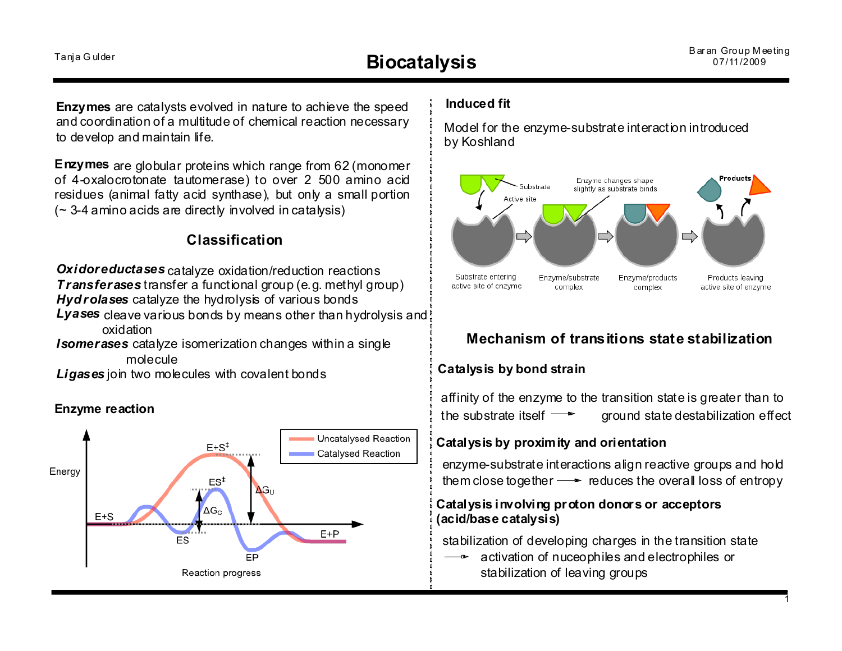**Enzymes** are catalysts evolved in nature to achieve the speed and coordination of a multitude of chemical reaction necessary to develop and maintain life.

**Enzymes** are globular proteins which range from 62 (monomer of 4-oxalocrotonate tautomerase) to over 2 500 amino acid residues (animal fatty acid synthase), but only a small portion  $($   $\sim$  3-4 amino acids are directly involved in catalysis)

## **Classification**

*Oxidoreductases* catalyze oxidation/reduction reactions *Transferases* transfer a functional group (e.g. methyl group) *Hydrolases* catalyze the hydrolysis of various bonds

*Lyases* cleave various bonds by means other than hydrolysis and oxidation

**Isomerases** catalyze isomerization changes within a single molecule

*Ligases* join two molecules with covalent bonds

#### **Enzyme reaction**



#### **Induced fit**

Model for the enzyme-substrate interaction introduced by Koshland



### **Mechanism of transitions state stabilization**

#### **Catalysis by bond strain**

affinity of the enzyme to the transition state is greater than to the substrate itself  $\longrightarrow$  ground state destabilization effect

#### **Catalysis by proximity and orientation**

enzyme-substrate interactions align reactive groups and hold them close together  $\rightarrow$  reduces the overall loss of entropy

#### **Catalysis involving proton donors or acceptors (acid/base catalysis)**

stabilization of developing charges in the transition state

activation of nuceophiles and electrophiles or stabilization of leaving groups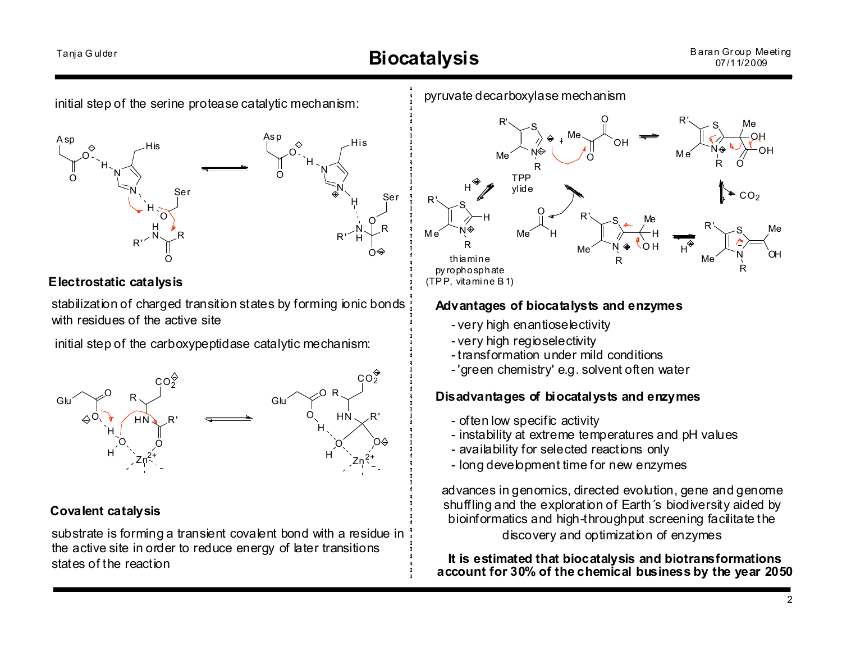# Tanja Gulder **Biocatalysis**

#### Baran Gr oup Meeting 07/11/2009





#### **Electrostatic catalysis**

stabilization of charged transition states by forming ionic bonds with residues of the active site

initial step of the carboxypeptidase catalytic mechanism:



### **Covalent catalysis**

substrate is forming a transient covalent bond with a residue in the active site in order to reduce energy of later transitions states of the reaction

#### pyruvate decarboxylase mechanism



#### **Advantages of biocatalysts and enzymes**

- very high enantioselectivity
- very high regioselectivity
- transformation under mild conditions
- 'green chemistry' e.g. solvent often water

#### **Disadvantages of biocatalysts and enzymes**

- often low specific activity
- instability at extreme temperatures and pH values
- availability for selected reactions only
- long development time for new enzymes

advances in genomics, directed evolution, gene and genome shuffling and the exploration of Earth's biodiversity aided by bioinformatics and high-throughput screening facilitate the discovery and optimization of enzymes

**It is estimated that biocatalysis and biotransformations account for 30% of the chemical business by the year 2050**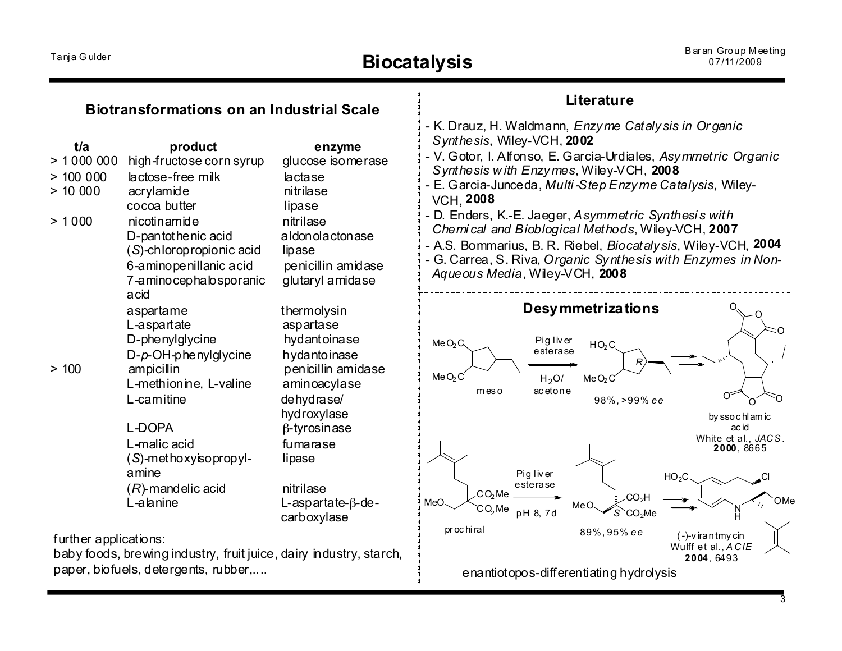| <b>Biotransformations on an Industrial Scale</b>                                                                                    |                                                                                                            |                                                                            | Literature                                                                                                                                                                                                                                                                                                                            |
|-------------------------------------------------------------------------------------------------------------------------------------|------------------------------------------------------------------------------------------------------------|----------------------------------------------------------------------------|---------------------------------------------------------------------------------------------------------------------------------------------------------------------------------------------------------------------------------------------------------------------------------------------------------------------------------------|
| t/a<br>> 1000000<br>> 100000<br>> 10000<br>> 1000                                                                                   | product<br>high-fructose corn syrup<br>lactose-free milk<br>acrylamide<br>cocoa butter<br>nicotinamide     | enzyme<br>glucose isomerase<br>lactase<br>nitrilase<br>lipase<br>nitrilase | - K. Drauz, H. Waldmann, Enzyme Catalysis in Organic<br>Synthesis, Wiley-VCH, 2002<br>- V. Gotor, I. Alfonso, E. Garcia-Urdiales, Asymmetric Organic<br>Synthesis with Enzymes, Wiley-VCH, 2008<br>E. Garcia-Junceda, Multi-Step Enzyme Catalysis, Wiley-<br><b>VCH, 2008</b><br>- D. Enders, K.-E. Jaeger, Asymmetric Synthesis with |
|                                                                                                                                     | D-pantothenic acid<br>(S)-chloropropionic acid<br>6-aminopenillanic acid<br>7-aminocephalosporanic<br>acid | aldonolactonase<br>lipase<br>penicillin amidase<br>glutaryl amidase        | Chemical and Bioblogical Methods, Wiley-VCH, 2007<br>- A.S. Bommarius, B. R. Riebel, <i>Biocatalysis</i> , Wiley-VCH, 2004<br>- G. Carrea, S. Riva, Organic Synthesis with Enzymes in Non-<br>Aqueous Media, Wiley-VCH, 2008                                                                                                          |
|                                                                                                                                     | aspartame<br>L-aspartate<br>D-phenylglycine<br>$D-p$ -OH-phenylglycine                                     | thermolysin<br>aspartase<br>hydantoinase<br>hydantoinase                   | <b>Desymmetrizations</b><br>Pig liver<br>MeO <sub>2</sub> C<br>HO <sub>2</sub> C <sub>3</sub><br>esterase                                                                                                                                                                                                                             |
| > 100                                                                                                                               | ampicillin<br>L-methionine, L-valine<br>L-camitine                                                         | penicillin amidase<br>aminoacylase<br>dehydrase/<br>hydroxylase            | MeO <sub>2</sub> C<br>H <sub>2</sub> O<br>MeO <sub>2</sub> C<br>acetone<br>m es o<br>$\alpha$<br>∩<br>98%, >99% ee<br>by ssochlamic                                                                                                                                                                                                   |
|                                                                                                                                     | <b>L-DOPA</b><br>L-malic acid<br>$(S)$ -methoxyisopropyl-<br>amine                                         | $\beta$ -tyrosinase<br>fumarase<br>lipase                                  | ac id<br>White et al., JACS.<br>2000, 8665<br>Pig liver                                                                                                                                                                                                                                                                               |
|                                                                                                                                     | $(R)$ -mandelic acid<br>L-alanine                                                                          | nitrilase<br>L-aspartate- $\beta$ -de-<br>carboxylase                      | HO <sub>2</sub> C<br>esterase<br>CO <sub>2</sub> Me<br>CO <sub>2</sub> H<br>OMe<br>MeO<br>Me O<br>CO <sub>2</sub> Me<br>pH 8, 7d<br>CO <sub>2</sub> Me                                                                                                                                                                                |
| further applications:<br>baby foods, brewing industry, fruit juice, dairy industry, starch,<br>paper, biofuels, detergents, rubber, |                                                                                                            |                                                                            | pr oc hiral<br>89%, 95% ee<br>$(-)$ -virantmycin<br>Wulff et al., ACIE<br>2004, 6493<br>enantiotopos-differentiating hydrolysis                                                                                                                                                                                                       |

 $\overline{\overline{\overline{3}}}$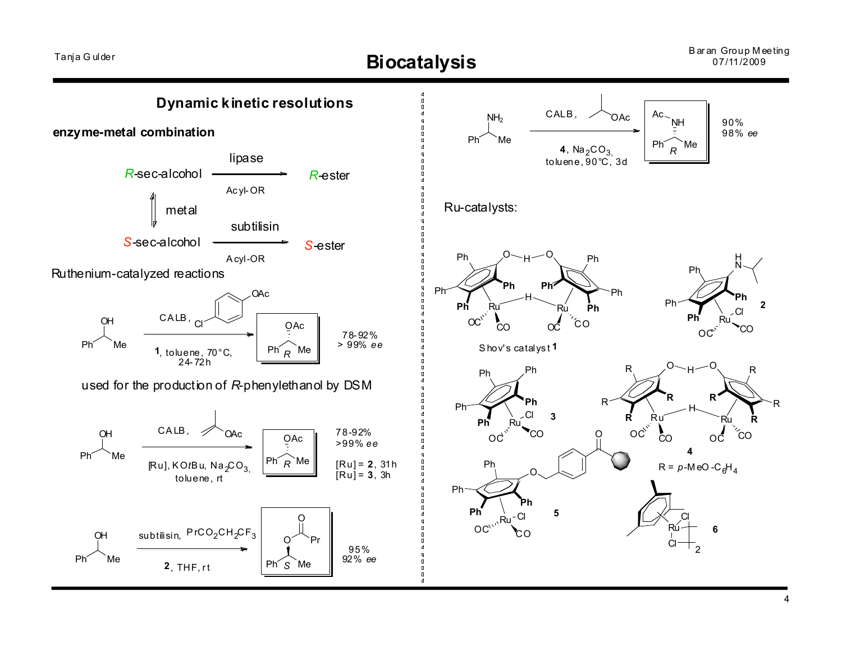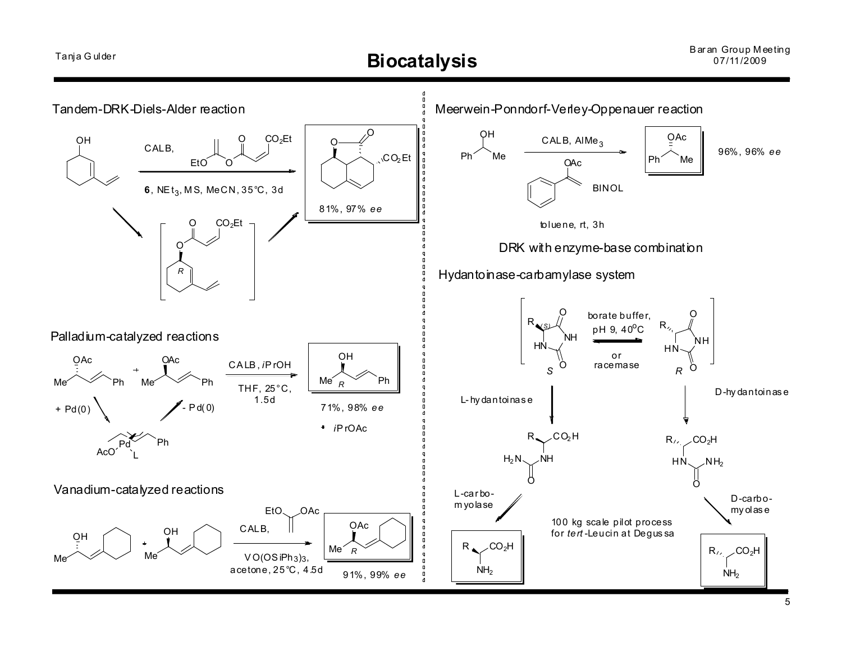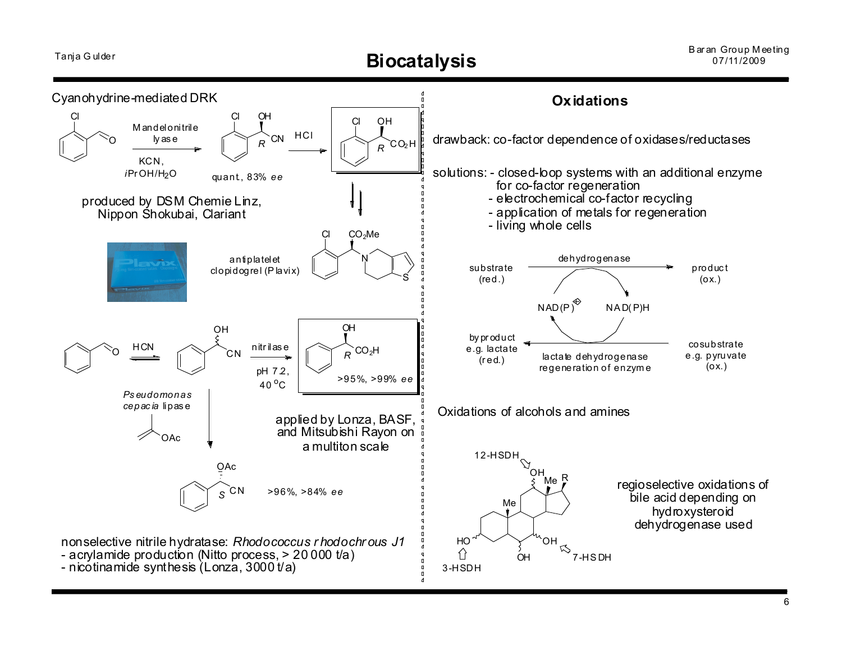# Tanja G ulder **Biocatalysis** Baran Group Meeting

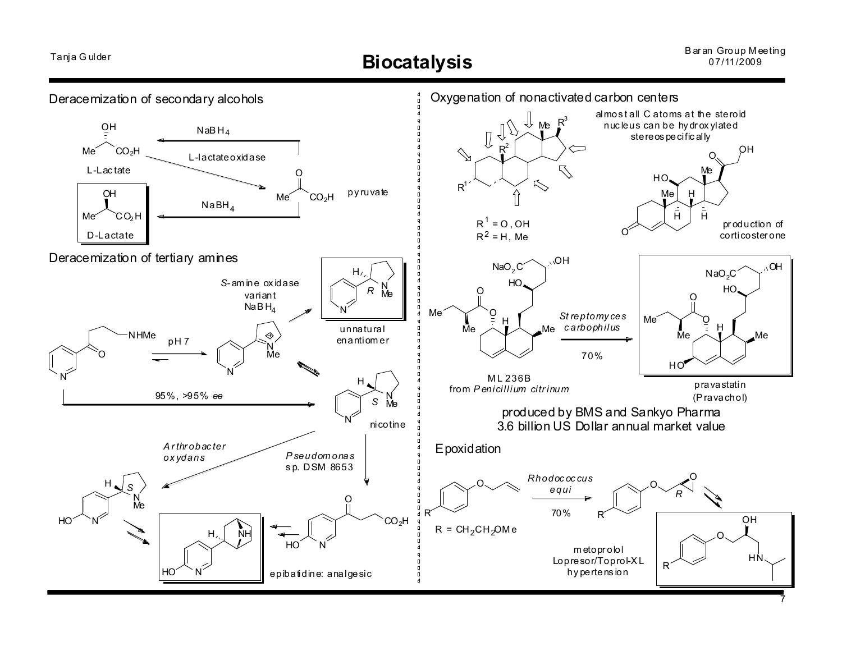#### Baran Group Meeting 07/11/2009

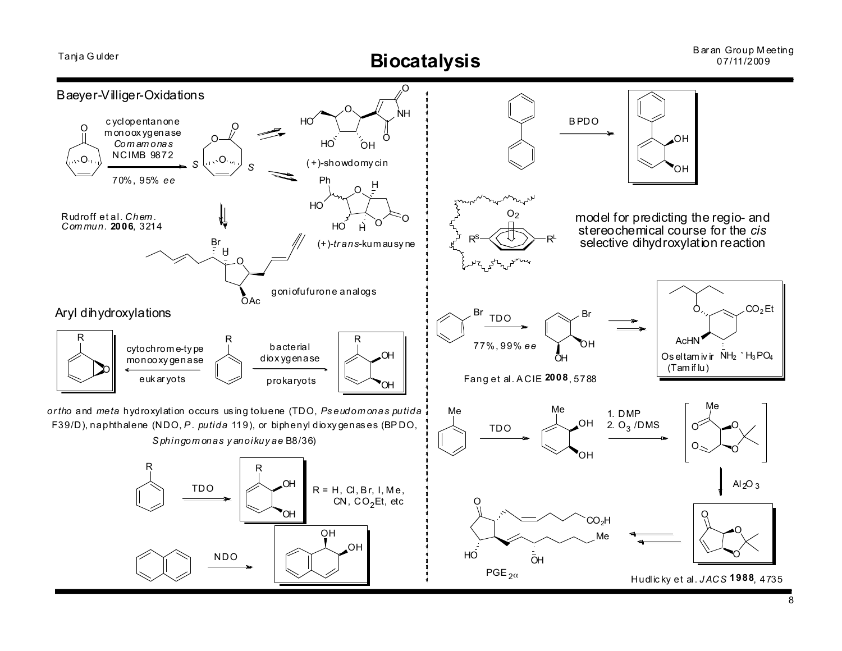

8

Baran Group Meeting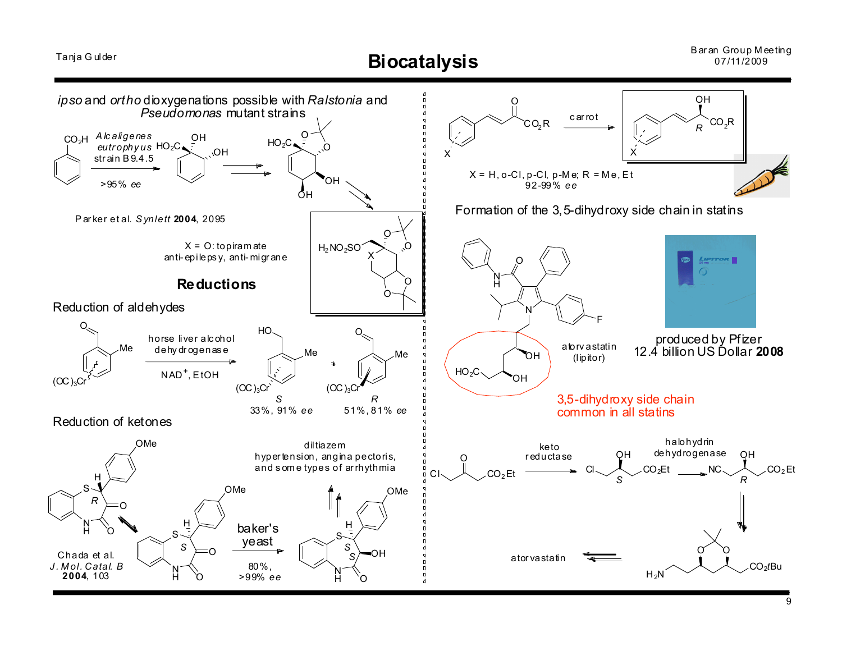Tanja Gulder

**Biocatalysis** 

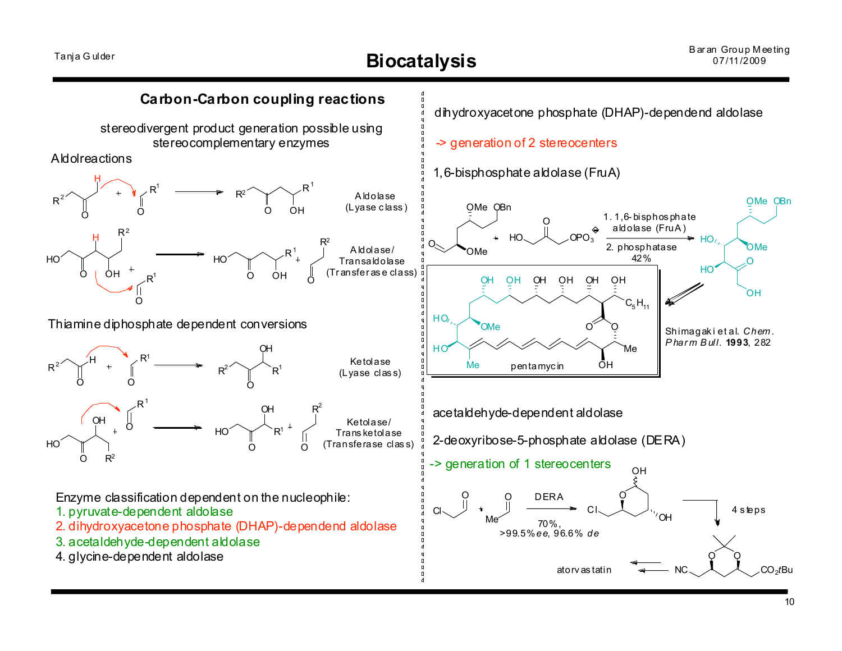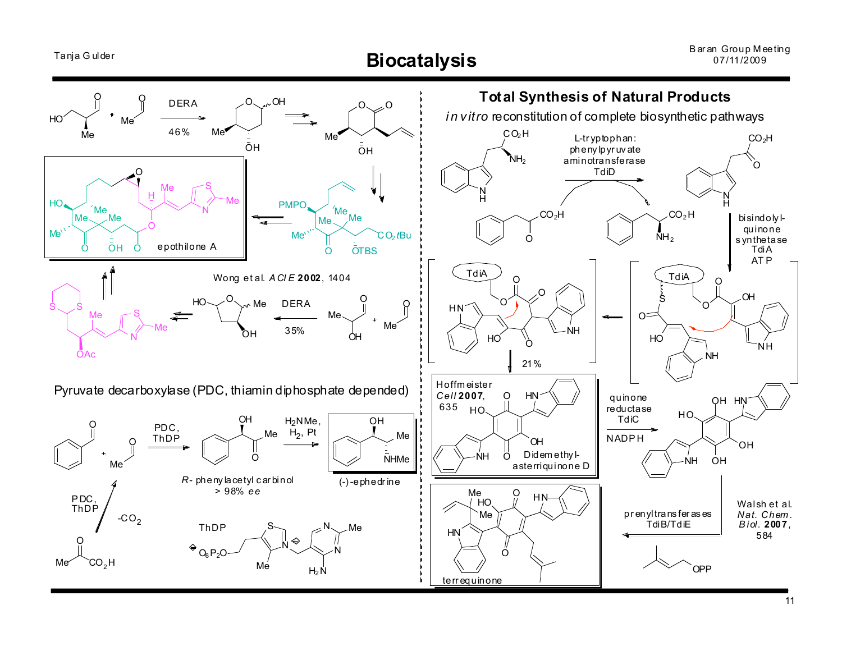